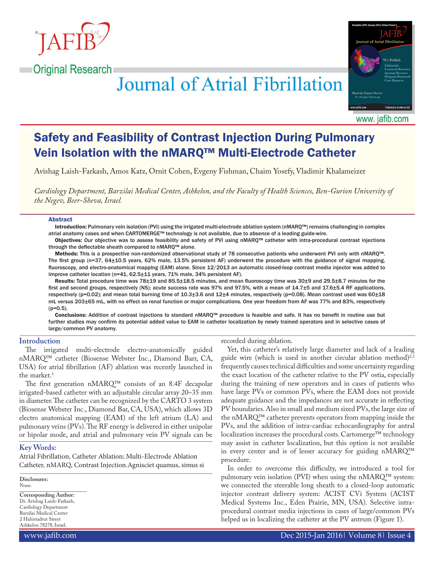

**Original Research** 

# **Journal of Atrial Fibrillation**



www. jafib.com

# Safety and Feasibility of Contrast Injection During Pulmonary Vein Isolation with the nMARQ™ Multi-Electrode Catheter

Avishag Laish-Farkash, Amos Katz, Ornit Cohen, Evgeny Fishman, Chaim Yosefy, Vladimir Khalameizer

*Cardiology Department, Barzilai Medical Center, Ashkelon, and the Faculty of Health Sciences, Ben-Gurion University of the Negev, Beer-Sheva, Israel.*

#### Abstract

Introduction: Pulmonary vein isolation (PVI) using the irrigated multi-electrode ablation system (nMARQ™) remains challenging in complex atrial anatomy cases and when CARTOMERGE™ technology is not available, due to absence of a leading guide-wire.

Objectives: Our objective was to assess feasibility and safety of PVI using nMARQ™ catheter with intra-procedural contrast injections through the deflectable sheath compared to nMARQ™ alone.

Methods: This is a prospective non-randomized observational study of 78 consecutive patients who underwent PVI only with nMARQ™. The first group (n=37, 64±10.5 years, 62% male, 13.5% persistent AF) underwent the procedure with the guidance of signal mapping, fluoroscopy, and electro-anatomical mapping (EAM) alone. Since 12/2013 an automatic closed-loop contrast media injector was added to improve catheter location (n=41, 62.5±11 years, 71% male, 34% persistent AF).

Results: Total procedure time was 78±19 and 85.5±18.5 minutes, and mean fluoroscopy time was 30±9 and 29.5±8.7 minutes for the first and second groups, respectively (NS); acute success rate was 97% and 97.5%, with a mean of 14.7±5 and 17.6±5.4 RF applications, respectively (p=0.02); and mean total burning time of 10.3±3.6 and 12±4 minutes, respectively (p=0.08). Mean contrast used was 60±18 mL versus 203±65 mL, with no effect on renal function or major complications. One year freedom from AF was 77% and 83%, respectively  $(p=0.5)$ .

Conclusions: Addition of contrast injections to standard nMARQ™ procedure is feasible and safe. It has no benefit in routine use but further studies may confirm its potential added value to EAM in catheter localization by newly trained operators and in selective cases of large/common PV anatomy.

# **Introduction**

The irrigated multi-electrode electro-anatomically guided nMARQ™ catheter (Biosense Webster Inc., Diamond Barr, CA, USA) for atrial fibrillation (AF) ablation was recently launched in the market.<sup>1</sup>

The first generation nMARQ™ consists of an 8.4F decapolar irrigated-based catheter with an adjustable circular array 20–35 mm in diameter. The catheter can be recognized by the CARTO 3 system (Biosense Webster Inc., Diamond Bar, CA, USA), which allows 3D electro anatomical mapping (EAM) of the left atrium (LA) and pulmonary veins (PVs). The RF energy is delivered in either unipolar or bipolar mode, and atrial and pulmonary vein PV signals can be

# **Key Words:**

Atrial Fibrillation, Catheter Ablation; Multi-Electrode Ablation Catheter, nMARQ, Contrast Injection.Agnisciet quamus, simus si

**Disclosures:** None.

**Corresponding Author:** Dr. Avishag Laish-Farkash, Cardiology Department Barzilai Medical Center 2 Hahistadrut Street Ashkelon 78278, Israel.

recorded during ablation.

Yet, this catheter's relatively large diameter and lack of a leading guide wire (which is used in another circular ablation method)<sup>2,3</sup> frequently causes technical difficulties and some uncertainty regarding the exact location of the catheter relative to the PV ostia, especially during the training of new operators and in cases of patients who have large PVs or common PVs, where the EAM does not provide adequate guidance and the impedances are not accurate in reflecting PV boundaries. Also in small and medium sized PVs, the large size of the nMARQ™ catheter prevents operators from mapping inside the PVs, and the addition of intra-cardiac echocardiography for antral localization increases the procedural costs. Cartomerge™ technology may assist in catheter localization, but this option is not available in every center and is of lesser accuracy for guiding nMARQ™ procedure.

In order to overcome this difficulty, we introduced a tool for pulmonary vein isolation (PVI) when using the nMARQ™ system: we connected the steerable long sheath to a closed-loop automatic injector contrast delivery system: ACIST CVi System (ACIST Medical Systems Inc., Eden Prairie, MN, USA). Selective intraprocedural contrast media injections in cases of large/common PVs helped us in localizing the catheter at the PV antrum (Figure 1).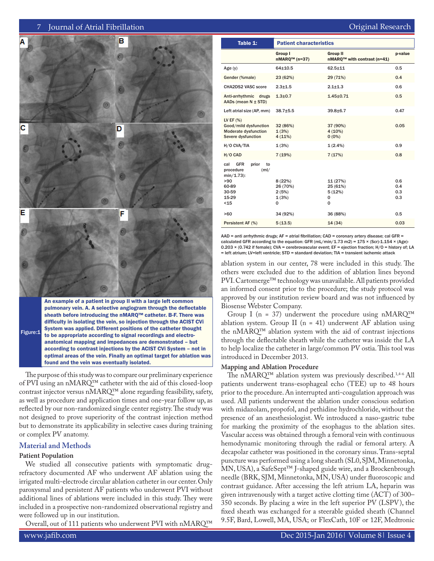# 7 Journal of Atrial Fibrillation **Communisties and Communisties and Communisties Communisties Atlantic Review**



to be appropriate according to signal recordings and electroanatomical mapping and impedances are demonstrated – but according to contrast injections by the ACIST CVi System – not in optimal areas of the vein. Finally an optimal target for ablation was found and the vein was eventually isolated.

The purpose of this study was to compare our preliminary experience of PVI using an nMARQ™ catheter with the aid of this closed-loop contrast injector versus nMARQ™ alone regarding feasibility, safety, as well as procedure and application times and one-year follow up, as reflected by our non-randomized single center registry. The study was not designed to prove superiority of the contrast injection method but to demonstrate its applicability in selective cases during training or complex PV anatomy.

# **Material and Methods**

# **Patient Population**

We studied all consecutive patients with symptomatic drugrefractory documented AF who underwent AF ablation using the irrigated multi-electrode circular ablation catheter in our center. Only paroxysmal and persistent AF patients who underwent PVI without additional lines of ablations were included in this study. They were included in a prospective non-randomized observational registry and were followed up in our institution.

Overall, out of 111 patients who underwent PVI with nMARQ™

| Table 1:                                                                                       | <b>Patient characteristics</b>                                |                                                            |                   |  |  |
|------------------------------------------------------------------------------------------------|---------------------------------------------------------------|------------------------------------------------------------|-------------------|--|--|
|                                                                                                | Group I<br>$nMAPQ™$ (n=37)                                    | <b>Group II</b><br>nMARQ <sup>™</sup> with contrast (n=41) | p-value           |  |  |
| Age(y)                                                                                         | $64 + 10.5$                                                   | $62.5 + 11$                                                | 0.5               |  |  |
| Gender (%male)                                                                                 | 23 (62%)                                                      | 29 (71%)                                                   | 0.4               |  |  |
| CHA2DS2 VASC score                                                                             | $2.3 + 1.5$                                                   | $2.1 + 1.3$                                                | 0.6               |  |  |
| Anti-arrhythmic drugs<br>AADs (mean $N \pm STD$ )                                              | $1.3 + 0.7$                                                   | $1.45 \pm 0.71$                                            | 0.5               |  |  |
| Left atrial size (AP, mm)                                                                      | $38.7 + 5.5$                                                  | $39.8 + 6.7$                                               | 0.47              |  |  |
| LV EF $(%)$<br>Good/mild dysfunction<br>Moderate dysfunction<br>Severe dysfunction             | 32 (86%)<br>37 (90%)<br>1(3%)<br>4(10%)<br>4(11%)<br>$0(0\%)$ |                                                            | 0.05              |  |  |
| H/O CVA/TIA                                                                                    | 1(3%)                                                         | 1(2.4%)                                                    | 0.9               |  |  |
| H/O CAD                                                                                        | 7(19%)                                                        | 7(17%)                                                     | 0.8               |  |  |
| <b>GFR</b><br>prior<br>cal<br>to<br>procedure<br>(ml/<br>$min/1.73$ :<br>>90<br>60-89<br>30-59 | 8(22%)<br>26 (70%)<br>2(5%)                                   | 11 (27%)<br>25 (61%)<br>5(12%)                             | 0.6<br>0.4<br>0.3 |  |  |
| 15-29<br>$15$                                                                                  | 1(3%)<br>0                                                    | 0<br>0                                                     | 0.3               |  |  |
|                                                                                                |                                                               |                                                            |                   |  |  |
| >60                                                                                            | 34 (92%)                                                      | 36 (88%)                                                   | 0.5               |  |  |
| Persistent AF (%)                                                                              | 5(13.5)                                                       | 14(34)                                                     | 0.03              |  |  |

AAD = anti arrhythmic drugs; AF = atrial fibrillation; CAD = coronary artery disease; cal GFR = calculated GFR according to the equation: GFR (mL/min/1.73 m2) = 175  $\times$  (Scr)-1.154  $\times$  (Age)-0.203 × (0.742 if female); CVA = cerebrovascular event; EF = ejection fraction; H/O = history of; LA = left atrium; LV=left ventricle; STD = standard deviation; TIA = transient ischemic attack

ablation system in our center, 78 were included in this study. The others were excluded due to the addition of ablation lines beyond PVI. Cartomerge™ technology was unavailable. All patients provided an informed consent prior to the procedure; the study protocol was approved by our institution review board and was not influenced by Biosense Webster Company.

Group I (n = 37) underwent the procedure using  $n<sub>MRQ</sub>^{TM}$ ablation system. Group II ( $n = 41$ ) underwent AF ablation using the nMARQ™ ablation system with the aid of contrast injections through the deflectable sheath while the catheter was inside the LA to help localize the catheter in large/common PV ostia. This tool was introduced in December 2013.

# **Mapping and Ablation Procedure**

The nMARQ™ ablation system was previously described.1,4-6 All patients underwent trans-esophageal echo (TEE) up to 48 hours prior to the procedure. An interrupted anti-coagulation approach was used. All patients underwent the ablation under conscious sedation with midazolam, propofol, and pethidine hydrochloride, without the presence of an anesthesiologist. We introduced a naso-gastric tube for marking the proximity of the esophagus to the ablation sites. Vascular access was obtained through a femoral vein with continuous hemodynamic monitoring through the radial or femoral artery. A decapolar catheter was positioned in the coronary sinus. Trans-septal puncture was performed using a long sheath (SL0, SJM, Minnetonka, MN, USA), a SafeSept™ J-shaped guide wire, and a Brockenbrough needle (BRK, SJM, Minnetonka, MN, USA) under fluoroscopic and contrast guidance. After accessing the left atrium LA, heparin was given intravenously with a target active clotting time (ACT) of 300– 350 seconds. By placing a wire in the left superior PV (LSPV), the fixed sheath was exchanged for a steerable guided sheath (Channel 9.5F, Bard, Lowell, MA, USA; or FlexCath, 10F or 12F, Medtronic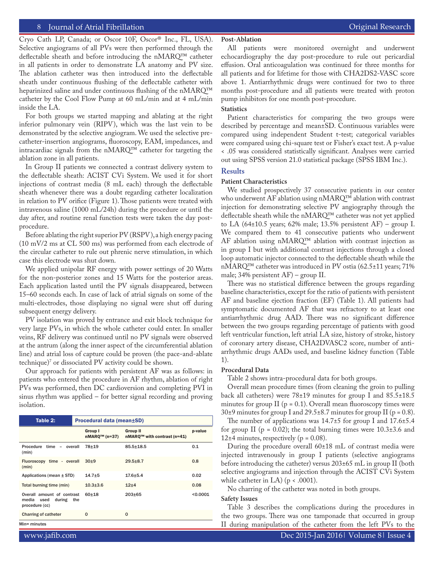# 8 Journal of Atrial Fibrillation **Community** Community Community Community Community Community Community Community

Cryo Cath LP, Canada; or Oscor 10F, Oscor® Inc., FL, USA). Selective angiograms of all PVs were then performed through the deflectable sheath and before introducing the nMARQ™ catheter in all patients in order to demonstrate LA anatomy and PV size. The ablation catheter was then introduced into the deflectable sheath under continuous flushing of the deflectable catheter with heparinized saline and under continuous flushing of the nMARQ™ catheter by the Cool Flow Pump at 60 mL/min and at 4 mL/min inside the LA.

For both groups we started mapping and ablating at the right inferior pulmonary vein (RIPV), which was the last vein to be demonstrated by the selective angiogram. We used the selective precatheter-insertion angiograms, fluoroscopy, EAM, impedances, and intracardiac signals from the nMARQ™ catheter for targeting the ablation zone in all patients.

In Group II patients we connected a contrast delivery system to the deflectable sheath: ACIST CVi System. We used it for short injections of contrast media (8 mL each) through the deflectable sheath whenever there was a doubt regarding catheter localization in relation to PV orifice (Figure 1). Those patients were treated with intravenous saline (1000 mL/24h) during the procedure or until the day after, and routine renal function tests were taken the day postprocedure.

Before ablating the right superior PV (RSPV), a high energy pacing (10 mV/2 ms at CL 500 ms) was performed from each electrode of the circular catheter to rule out phrenic nerve stimulation, in which case this electrode was shut down.

We applied unipolar RF energy with power settings of 20 Watts for the non-posterior zones and 15 Watts for the posterior areas. Each application lasted until the PV signals disappeared, between 15–60 seconds each. In case of lack of atrial signals on some of the multi-electrodes, those displaying no signal were shut off during subsequent energy delivery.

PV isolation was proved by entrance and exit block technique for very large PVs, in which the whole catheter could enter. In smaller veins, RF delivery was continued until no PV signals were observed at the antrum (along the inner aspect of the circumferential ablation line) and atrial loss of capture could be proven (the pace-and-ablate technique)7 or dissociated PV activity could be shown.

Our approach for patients with persistent AF was as follows: in patients who entered the procedure in AF rhythm, ablation of right PVs was performed, then DC cardioversion and completing PVI in sinus rhythm was applied – for better signal recording and proving isolation.

| Table 2:                                                                    | Procedural data (mean±SD) |                            |                                                |          |  |  |
|-----------------------------------------------------------------------------|---------------------------|----------------------------|------------------------------------------------|----------|--|--|
|                                                                             |                           | Group I<br>$nMAPQ™$ (n=37) | <b>Group II</b><br>nMARQ™ with contrast (n=41) | p-value  |  |  |
| Procedure time -<br>overall<br>(min)                                        |                           | 78±19                      | $85.5 + 18.5$                                  | 0.1      |  |  |
| Fluoroscopy time - overall<br>(min)                                         |                           | 30 <sub>±9</sub>           | $29.5 + 8.7$                                   | 0.8      |  |  |
| Applications (mean $\pm$ STD)                                               |                           | $14.7 + 5$                 | $17.6 + 5.4$                                   | 0.02     |  |  |
| Total burning time (min)                                                    |                           | $10.3 + 3.6$               | $12+4$                                         | 0.08     |  |  |
| Overall amount of contrast<br>media used<br>during<br>the<br>procedure (cc) |                           | $60 + 18$                  | $203 + 65$                                     | < 0.0001 |  |  |
| Charring of catheter                                                        |                           | $\Omega$                   | $\Omega$                                       |          |  |  |

# **Post-Ablation**

All patients were monitored overnight and underwent echocardiography the day post-procedure to rule out pericardial effusion. Oral anticoagulation was continued for three months for all patients and for lifetime for those with CHA2DS2-VASC score above 1. Antiarrhythmic drugs were continued for two to three months post-procedure and all patients were treated with proton pump inhibitors for one month post-procedure.

# **Statistics**

Patient characteristics for comparing the two groups were described by percentage and mean±SD. Continuous variables were compared using independent Student t-test; categorical variables were compared using chi-square test or Fisher's exact test. A p-value < .05 was considered statistically significant. Analyses were carried out using SPSS version 21.0 statistical package (SPSS IBM Inc.).

# **Results**

# **Patient Characteristics**

We studied prospectively 37 consecutive patients in our center who underwent AF ablation using nMARQ™ ablation with contrast injection for demonstrating selective PV angiography through the deflectable sheath while the nMARQ™ catheter was not yet applied to LA (64 $\pm$ 10.5 years; 62% male; 13.5% persistent AF) – group I. We compared them to 41 consecutive patients who underwent AF ablation using nMARQ™ ablation with contrast injection as in group I but with additional contrast injections through a closed loop automatic injector connected to the deflectable sheath while the nMARQ™ catheter was introduced in PV ostia (62.5±11 years; 71% male; 34% persistent AF) – group II.

There was no statistical difference between the groups regarding baseline characteristics, except for the ratio of patients with persistent AF and baseline ejection fraction (EF) (Table 1). All patients had symptomatic documented AF that was refractory to at least one antiarrhythmic drug AAD. There was no significant difference between the two groups regarding percentage of patients with good left ventricular function, left atrial LA size, history of stroke, history of coronary artery disease, CHA2DVASC2 score, number of antiarrhythmic drugs AADs used, and baseline kidney function (Table 1).

#### **Procedural Data**

Table 2 shows intra-procedural data for both groups.

Overall mean procedure times (from cleaning the groin to pulling back all catheters) were 78±19 minutes for group I and 85.5±18.5 minutes for group  $II$  ( $p = 0.1$ ). Overall mean fluoroscopy times were 30 $\pm$ 9 minutes for group I and 29.5 $\pm$ 8.7 minutes for group II (p = 0.8).

The number of applications was 14.7±5 for group I and 17.6±5.4 for group II ( $p = 0.02$ ); the total burning times were  $10.3\pm3.6$  and 12 $\pm$ 4 minutes, respectively (p = 0.08).

During the procedure overall 60±18 mL of contrast media were injected intravenously in group I patients (selective angiograms before introducing the catheter) versus 203±65 mL in group II (both selective angiograms and injection through the ACIST CVi System while catheter in LA) ( $p < .0001$ ).

No charring of the catheter was noted in both groups.

#### **Safety Issues**

Table 3 describes the complications during the procedures in the two groups. There was one tamponade that occurred in group II during manipulation of the catheter from the left PVs to the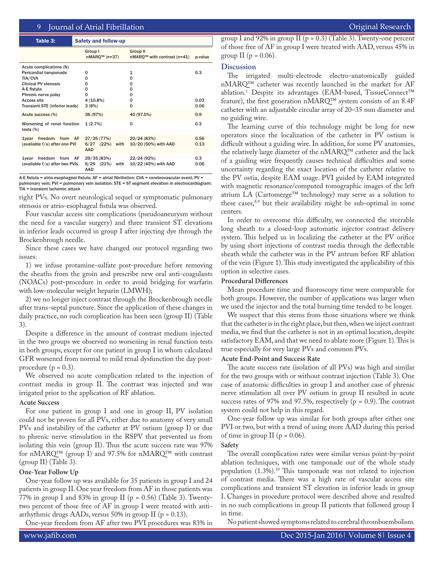| Table 3:                                                          |  | <b>Safety and follow-up</b>                  |      |                                           |              |  |
|-------------------------------------------------------------------|--|----------------------------------------------|------|-------------------------------------------|--------------|--|
|                                                                   |  | Group I<br>$nMAPQ™ (n=37)$                   |      | Group II<br>$nMARQ™$ with contrast (n=41) | p-value      |  |
| Acute complications (N)                                           |  |                                              |      |                                           |              |  |
| Pericardial tamponade                                             |  | 0                                            |      | 1                                         | 0.3          |  |
| TIA/CVA                                                           |  | O                                            |      | 0                                         |              |  |
| <b>Clinical PV stenosis</b>                                       |  | O                                            |      | 0                                         |              |  |
| A-E fistula                                                       |  | 0                                            |      | 0                                         |              |  |
| Phrenic nerve palsy                                               |  | O                                            |      | 0                                         |              |  |
| Access site                                                       |  | $4(10.8\%)$                                  |      | 0                                         | 0.03         |  |
| Transient STE (inferior leads)                                    |  | 3(8%)                                        |      | 0                                         | 0.06         |  |
| Acute success (%)                                                 |  | 36 (97%)                                     |      | 40 (97.5%)                                | 0.9          |  |
| Worsening of renal function<br>tests $(\%)$                       |  | 1(2.7%)                                      |      | 0                                         | 0.3          |  |
| freedom from AF<br><b>1</b> vear<br>(available f/u) after one PVI |  | 27/35 (77%)<br>6/27 (22%) with<br><b>AAD</b> |      | 20/24 (83%)<br>10/20 (50%) with AAD       | 0.56<br>0.13 |  |
| freedom from AF<br>1 vear<br>(available f/u) after two PVIs       |  | 29/35 (83%)<br>$6/29$ $(21%)$<br><b>AAD</b>  | with | 22/24 (92%)<br>10/22 (45%) with AAD       | 0.3<br>0.06  |  |

A-E fistula = atrio-esophageal fistula; AF = atrial fibrillation; CVA = cerebrovascular event; PV = pulmonary vein; PVI = pulmonary vein isolation; STE = ST segment elevation in electrocardiogram; TIA = transient ischemic attack

right PVs. No overt neurological sequel or symptomatic pulmonary stenosis or atrio-esophageal fistula was observed.

Four vascular access site complications (pseudoaneurysm without the need for a vascular surgery) and three transient ST elevations in inferior leads occurred in group I after injecting dye through the Brockenbrough needle.

Since these cases we have changed our protocol regarding two issues:

1) we infuse protamine-sulfate post-procedure before removing the sheaths from the groin and prescribe new oral anti-coagulants (NOACs) post-procedure in order to avoid bridging for warfarin with low-molecular weight heparin (LMWH);

2) we no longer inject contrast through the Brockenbrough needle after trans-septal puncture. Since the application of these changes in daily practice, no such complication has been seen (group II) (Table 3).

Despite a difference in the amount of contrast medium injected in the two groups we observed no worsening in renal function tests in both groups, except for one patient in group I in whom calculated GFR worsened from normal to mild renal dysfunction the day postprocedure ( $p = 0.3$ ).

We observed no acute complication related to the injection of contrast media in group II. The contrast was injected and was irrigated prior to the application of RF ablation.

# **Acute Success**

For one patient in group I and one in group II, PV isolation could not be proven for all PVs, either due to anatomy of very small PVs and instability of the catheter at PV ostium (group I) or due to phrenic nerve stimulation in the RSPV that prevented us from isolating this vein (group II). Thus the acute success rate was 97% for nMARQ™ (group I) and 97.5% for nMARQ™ with contrast (group II) (Table 3).

# **One-Year Follow Up**

One-year follow up was available for 35 patients in group I and 24 patients in group II. One year freedom from AF in those patients was 77% in group I and 83% in group II (p = 0.56) (Table 3). Twentytwo percent of those free of AF in group I were treated with antiarrhythmic drugs AADs, versus 50% in group II ( $p = 0.13$ ).

One-year freedom from AF after two PVI procedures was 83% in

group I and 92% in group II ( $p = 0.3$ ) (Table 3). Twenty-one percent of those free of AF in group I were treated with AAD, versus 45% in group II ( $p = 0.06$ ).

# **Discussion**

The irrigated multi-electrode electro-anatomically guided nMARQ™ catheter was recently launched in the market for AF ablation.1 Despite its advantages (EAM-based, TissueConnect™ feature), the first generation nMARQ™ system consists of an 8.4F catheter with an adjustable circular array of 20–35 mm diameter and no guiding wire.

The learning curve of this technology might be long for new operators since the localization of the catheter in PV ostium is difficult without a guiding wire. In addition, for some PV anatomies, the relatively large diameter of the nMARQ™ catheter and the lack of a guiding wire frequently causes technical difficulties and some uncertainty regarding the exact location of the catheter relative to the PV ostia, despite EAM usage. PVI guided by EAM integrated with magnetic resonance/computed tomographic images of the left atrium LA (Cartomerge™ technology) may serve as a solution to these cases, $8,9$  but their availability might be sub-optimal in some centers.

In order to overcome this difficulty, we connected the steerable long sheath to a closed-loop automatic injector contrast delivery system. This helped us in localizing the catheter at the PV orifice by using short injections of contrast media through the deflectable sheath while the catheter was in the PV antrum before RF ablation of the vein (Figure 1). This study investigated the applicability of this option in selective cases.

# **Procedural Differences**

Mean procedure time and fluoroscopy time were comparable for both groups. However, the number of applications was larger when we used the injector and the total burning time tended to be longer.

We suspect that this stems from those situations where we think that the catheter is in the right place, but then, when we inject contrast media, we find that the catheter is not in an optimal location, despite satisfactory EAM, and that we need to ablate more (Figure 1). This is true especially for very large PVs and common PVs.

# **Acute End-Point and Success Rate**

The acute success rate (isolation of all PVs) was high and similar for the two groups with or without contrast injection (Table 3). One case of anatomic difficulties in group I and another case of phrenic nerve stimulation all over PV ostium in group II resulted in acute success rates of 97% and 97.5%, respectively  $(p = 0.9)$ . The contrast system could not help in this regard.

One-year follow up was similar for both groups after either one PVI or two, but with a trend of using more AAD during this period of time in group II ( $p = 0.06$ ).

# **Safety**

The overall complication rates were similar versus point-by-point ablation techniques, with one tamponade out of the whole study population (1.3%).10 This tamponade was not related to injection of contrast media. There was a high rate of vascular access site complications and transient ST elevation in inferior leads in group I. Changes in procedure protocol were described above and resulted in no such complications in group II patients that followed group I in time.

No patient showed symptoms related to cerebral thromboembolism.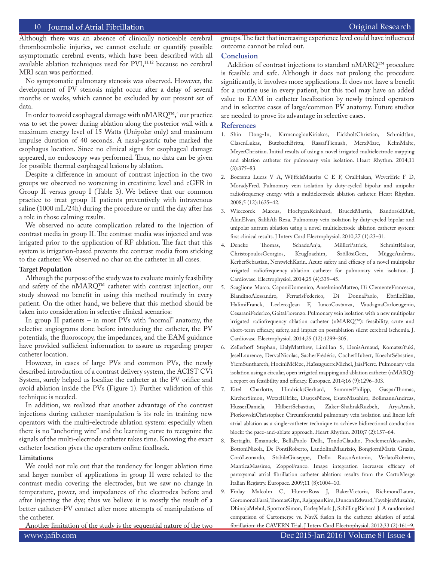# 10 Journal of Atrial Fibrillation **Community Community Community** Community Community Community Community Community

Although there was an absence of clinically noticeable cerebral thromboembolic injuries, we cannot exclude or quantify possible asymptomatic cerebral events, which have been described with all available ablation techniques used for PVI,<sup>11,12</sup> because no cerebral MRI scan was performed.

No symptomatic pulmonary stenosis was observed. However, the development of PV stenosis might occur after a delay of several months or weeks, which cannot be excluded by our present set of data.

In order to avoid esophageal damage with n $\mathrm{MARQ^{rm}},$  our practice was to set the power during ablation along the posterior wall with a maximum energy level of 15 Watts (Unipolar only) and maximum impulse duration of 40 seconds. A nasal-gastric tube marked the esophagus location. Since no clinical signs for esophageal damage appeared, no endoscopy was performed. Thus, no data can be given for possible thermal esophageal lesions by ablation.

Despite a difference in amount of contrast injection in the two groups we observed no worsening in creatinine level and eGFR in Group II versus group I (Table 3). We believe that our common practice to treat group II patients preventively with intravenous saline (1000 mL/24h) during the procedure or until the day after has a role in those calming results.

We observed no acute complication related to the injection of contrast media in group II. The contrast media was injected and was irrigated prior to the application of RF ablation. The fact that this system is irrigation-based prevents the contrast media from sticking to the catheter. We observed no char on the catheter in all cases.

# **Target Population**

Although the purpose of the study was to evaluate mainly feasibility and safety of the nMARQ™ catheter with contrast injection, our study showed no benefit in using this method routinely in every patient. On the other hand, we believe that this method should be taken into consideration in selective clinical scenarios:

In group II patients – in most PVs with "normal" anatomy, the selective angiograms done before introducing the catheter, the PV potentials, the fluoroscopy, the impedances, and the EAM guidance have provided sufficient information to assure us regarding proper catheter location.

However, in cases of large PVs and common PVs, the newly described introduction of a contrast delivery system, the ACIST CVi System, surely helped us localize the catheter at the PV orifice and avoid ablation inside the PVs (Figure 1). Further validation of this technique is needed.

In addition, we realized that another advantage of the contrast injections during catheter manipulation is its role in training new operators with the multi-electrode ablation system: especially when there is no "anchoring wire" and the learning curve to recognize the signals of the multi-electrode catheter takes time. Knowing the exact catheter location gives the operators online feedback.

#### **Limitations**

We could not rule out that the tendency for longer ablation time and larger number of applications in group II were related to the contrast media covering the electrodes, but we saw no change in temperature, power, and impedances of the electrodes before and after injecting the dye; thus we believe it is mostly the result of a better catheter-PV contact after more attempts of manipulations of the catheter.

Another limitation of the study is the sequential nature of the two

groups. The fact that increasing experience level could have influenced outcome cannot be ruled out.

#### **Conclusion**

Addition of contrast injections to standard nMARQ™ procedure is feasible and safe. Although it does not prolong the procedure significantly, it involves more applications. It does not have a benefit for a routine use in every patient, but this tool may have an added value to EAM in catheter localization by newly trained operators and in selective cases of large/common PV anatomy. Future studies are needed to prove its advantage in selective cases.

# **References**

- 1. Shin Dong-In, KirmanoglouKiriakos, EickholtChristian, SchmidtJan, ClasenLukas, ButzbachBritta, RassafTienush, MerxMarc, KelmMalte, MeyerChristian. Initial results of using a novel irrigated multielectrode mapping and ablation catheter for pulmonary vein isolation. Heart Rhythm. 2014;11 (3):375–83.
- 2. Boersma Lucas V A, WijffelsMaurits C E F, OralHakan, WeverEric F D, MoradyFred. Pulmonary vein isolation by duty-cycled bipolar and unipolar radiofrequency energy with a multielectrode ablation catheter. Heart Rhythm. 2008;5 (12):1635–42.
- 3. Wieczorek Marcus, HoeltgenReinhard, BrueckMartin, BandorskiDirk, AkinElvan, SaliliAli Reza. Pulmonary vein isolation by duty-cycled bipolar and unipolar antrum ablation using a novel multielectrode ablation catheter system: first clinical results. J Interv Card Electrophysiol. 2010;27 (1):23–31.
- 4. Deneke Thomas, SchadeAnja, MüllerPatrick, SchmittRainer, ChristopoulosGeorgios, KrugJoachim, SzöllösiGeza, MüggeAndreas, KerberSebastian, NentwichKarin. Acute safety and efficacy of a novel multipolar irrigated radiofrequency ablation catheter for pulmonary vein isolation. J. Cardiovasc. Electrophysiol. 2014;25 (4):339–45.
- 5. Scaglione Marco, CaponiDomenico, AnselminoMatteo, Di ClementeFrancesca, BlandinoAlessandro, FerrarisFederico, Di DonnaPaolo, EbrilleElisa, HalimiFranck, LeclercqJean F, IuncoCostanza, VaudagnaCarloeugenio, CesaraniFederico, GaitaFiorenzo. Pulmonary vein isolation with a new multipolar irrigated radiofrequency ablation catheter (nMARQ™): feasibility, acute and short-term efficacy, safety, and impact on postablation silent cerebral ischemia. J. Cardiovasc. Electrophysiol. 2014;25 (12):1299–305.
- 6. Zellerhoff Stephan, DalyMatthew, LimHan S, DenisArnaud, KomatsuYuki, JeselLaurence, DervalNicolas, SacherFrédéric, CochetHubert, KnechtSébastien, YiemSunthareth, HociniMélèze, HaïssaguerreMichel, JaïsPierre. Pulmonary vein isolation using a circular, open irrigated mapping and ablation catheter (nMARQ): a report on feasibility and efficacy. Europace. 2014;16 (9):1296–303.
- 7. Eitel Charlotte, HindricksGerhard, SommerPhilipp, GasparThomas, KircherSimon, WetzelUlrike, DagresNicos, EsatoMasahiro, BollmannAndreas, HusserDaniela, HilbertSebastian, Zaker-ShahrakRuzbeh, AryaArash, PiorkowskiChristopher. Circumferential pulmonary vein isolation and linear left atrial ablation as a single-catheter technique to achieve bidirectional conduction block: the pace-and-ablate approach. Heart Rhythm. 2010;7 (2):157–64.
- 8. Bertaglia Emanuele, BellaPaolo Della, TondoClaudio, ProclemerAlessandro, BottoniNicola, De PontiRoberto, LandolinaMaurizio, BongiorniMaria Grazia, CoròLeonardo, StabileGiuseppe, Dello RussoAntonio, VerlatoRoberto, ManticaMassimo, ZoppoFranco. Image integration increases efficacy of paroxysmal atrial fibrillation catheter ablation: results from the CartoMerge Italian Registry. Europace. 2009;11 (8):1004–10.
- 9. Finlay Malcolm C, HunterRoss J, BakerVictoria, RichmondLaura, GoromonziFarai, ThomasGlyn, RajappanKim, DuncanEdward, TayebjeeMuzahir, DhinojaMehul, SportonSimon, EarleyMark J, SchillingRichard J. A randomised comparison of Cartomerge vs. NavX fusion in the catheter ablation of atrial fibrillation: the CAVERN Trial. J Interv Card Electrophysiol. 2012;33 (2):161–9.